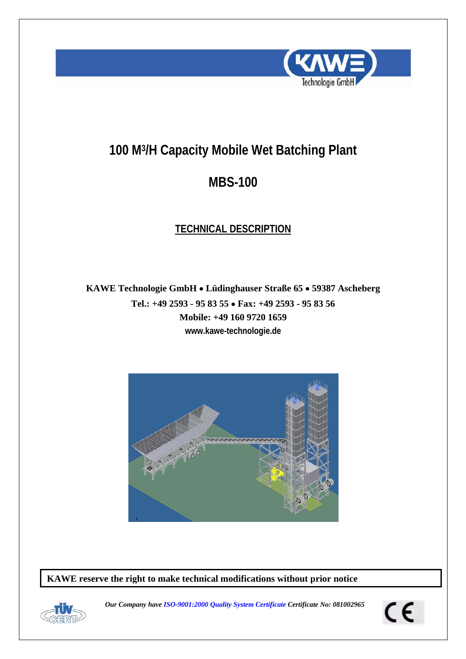

# **100 M3/H Capacity Mobile Wet Batching Plant**

# **MBS-100**

# **TECHNICAL DESCRIPTION**

**KAWE Technologie GmbH** • **Lüdinghauser Straße 65** • **59387 Ascheberg Tel.: +49 2593 - 95 83 55** • **Fax: +49 2593 - 95 83 56 Mobile: +49 160 9720 1659 www.kawe-technologie.de** 



**KAWE reserve the right to make technical modifications without prior notice** 



*Our Company have ISO-9001:2000 Quality System Certificate Certificate No: 081002965* 

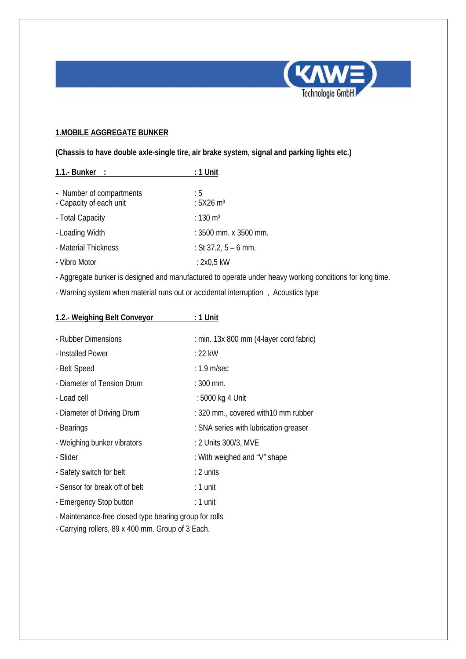

# **1.MOBILE AGGREGATE BUNKER**

**(Chassis to have double axle-single tire, air brake system, signal and parking lights etc.)** 

| 1.1.- Bunker :           | $: 1$ Unit              |
|--------------------------|-------------------------|
|                          |                         |
| - Number of compartments | : 5                     |
| - Capacity of each unit  | : $5X26$ m <sup>3</sup> |
| - Total Capacity         | : 130 $m3$              |
| - Loading Width          | : 3500 mm. x 3500 mm.   |
| - Material Thickness     | : St 37.2, $5 - 6$ mm.  |
| - Vibro Motor            | : 2x0,5 kW              |

- Aggregate bunker is designed and manufactured to operate under heavy working conditions for long time.

- Warning system when material runs out or accidental interruption , Acoustics type

| 1.2.- Weighing Belt Conveyor                           | : 1 Unit                                |
|--------------------------------------------------------|-----------------------------------------|
|                                                        |                                         |
| - Rubber Dimensions                                    | : min. 13x 800 mm (4-layer cord fabric) |
| - Installed Power                                      | $: 22$ kW                               |
| - Belt Speed                                           | $: 1.9$ m/sec                           |
| - Diameter of Tension Drum                             | $: 300$ mm.                             |
| - Load cell                                            | : 5000 kg 4 Unit                        |
| - Diameter of Driving Drum                             | : 320 mm., covered with 10 mm rubber    |
| - Bearings                                             | : SNA series with lubrication greaser   |
| - Weighing bunker vibrators                            | : 2 Units 300/3, MVE                    |
| - Slider                                               | : With weighed and "V" shape            |
| - Safety switch for belt                               | $: 2$ units                             |
| - Sensor for break off of belt                         | $: 1$ unit                              |
| - Emergency Stop button                                | $: 1$ unit                              |
| - Maintenance-free closed type bearing group for rolls |                                         |

- Carrying rollers, 89 x 400 mm. Group of 3 Each.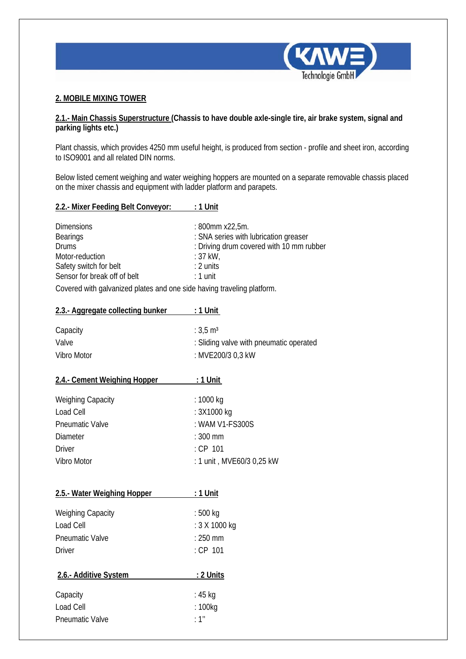

#### **2. MOBILE MIXING TOWER**

### **2.1.- Main Chassis Superstructure (Chassis to have double axle-single tire, air brake system, signal and parking lights etc.)**

Plant chassis, which provides 4250 mm useful height, is produced from section - profile and sheet iron, according to ISO9001 and all related DIN norms.

Below listed cement weighing and water weighing hoppers are mounted on a separate removable chassis placed on the mixer chassis and equipment with ladder platform and parapets.

#### **2.2.- Mixer Feeding Belt Conveyor: : 1 Unit**

| <b>Dimensions</b><br><b>Bearings</b> | : 800mm x22,5m.<br>: SNA series with lubrication greaser |
|--------------------------------------|----------------------------------------------------------|
| <b>Drums</b>                         | : Driving drum covered with 10 mm rubber                 |
| Motor-reduction                      | $:37$ kW,                                                |
| Safety switch for belt               | $: 2$ units                                              |
| Sensor for break off of belt         | $: 1$ unit                                               |
|                                      |                                                          |

Covered with galvanized plates and one side having traveling platform.

| 2.3.- Aggregate collecting bunker | $: 1$ Unit                                                                          |
|-----------------------------------|-------------------------------------------------------------------------------------|
| Capacity<br>Valve<br>Vibro Motor  | : $3.5 \text{ m}^3$<br>: Sliding valve with pneumatic operated<br>: MVE200/3 0,3 kW |
| 2.4.- Cement Weighing Hopper      | $:1$ Unit                                                                           |
| <b>Weighing Capacity</b>          | : 1000 kg                                                                           |
| Load Cell                         | : 3X1000 kg                                                                         |
| <b>Pneumatic Valve</b>            | : WAM V1-FS300S                                                                     |
| Diameter                          | $: 300$ mm                                                                          |
| Driver                            | : CP 101                                                                            |
| Vibro Motor                       | : 1 unit, MVE60/3 0,25 kW                                                           |
|                                   |                                                                                     |

| 2.5.- Water Weighing Hopper                                               | : 1 Unit                                           |
|---------------------------------------------------------------------------|----------------------------------------------------|
| <b>Weighing Capacity</b><br>Load Cell<br><b>Pneumatic Valve</b><br>Driver | : 500 kg<br>: 3 X 1000 kg<br>$:250$ mm<br>: CP 101 |
| 2.6.- Additive System                                                     | : 2 Units                                          |
| Capacity                                                                  | : 45 kg                                            |
| Load Cell                                                                 | : 100kg                                            |
| <b>Pneumatic Valve</b>                                                    | $\cdot$ 1"                                         |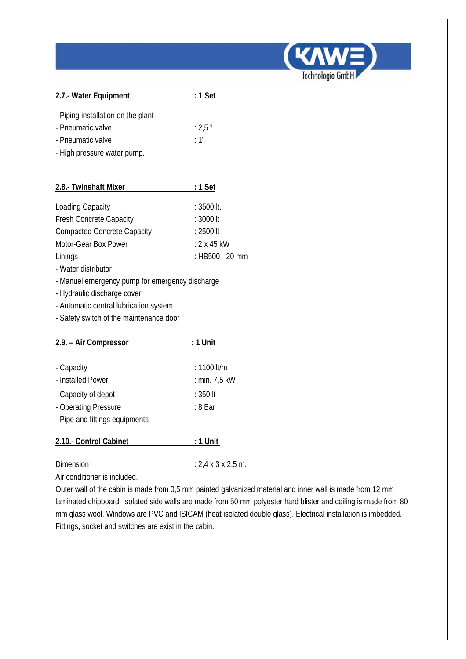

Technologie GmbH

| - Piping installation on the plant |        |
|------------------------------------|--------|
| - Pneumatic valve                  | : 2.5" |

- Pneumatic valve
- High pressure water pump.

| 2.8.- Twinshaft Mixer              | $: 1$ Set          |
|------------------------------------|--------------------|
|                                    |                    |
| <b>Loading Capacity</b>            | $: 3500$ It.       |
| <b>Fresh Concrete Capacity</b>     | : 3000 lt          |
| <b>Compacted Concrete Capacity</b> | $: 2500$ It        |
| Motor-Gear Box Power               | $: 2 \times 45$ kW |
| Linings                            | : HB500 - 20 mm    |

- Water distributor
- Manuel emergency pump for emergency discharge
- Hydraulic discharge cover
- Automatic central lubrication system
- Safety switch of the maintenance door

| 2.9. – Air Compressor          | : 1 Unit      |
|--------------------------------|---------------|
|                                |               |
| - Capacity                     | $: 1100$ lt/m |
| - Installed Power              | : min. 7,5 kW |
| - Capacity of depot            | : 350 lt      |
| - Operating Pressure           | : 8 Bar       |
| - Pipe and fittings equipments |               |
| 2.10.- Control Cabinet         | : 1 Unit      |
|                                |               |

Dimension : 2,4 x 3 x 2,5 m.

Air conditioner is included.

Outer wall of the cabin is made from 0,5 mm painted galvanized material and inner wall is made from 12 mm laminated chipboard. Isolated side walls are made from 50 mm polyester hard blister and ceiling is made from 80 mm glass wool. Windows are PVC and ISICAM (heat isolated double glass). Electrical installation is imbedded. Fittings, socket and switches are exist in the cabin.